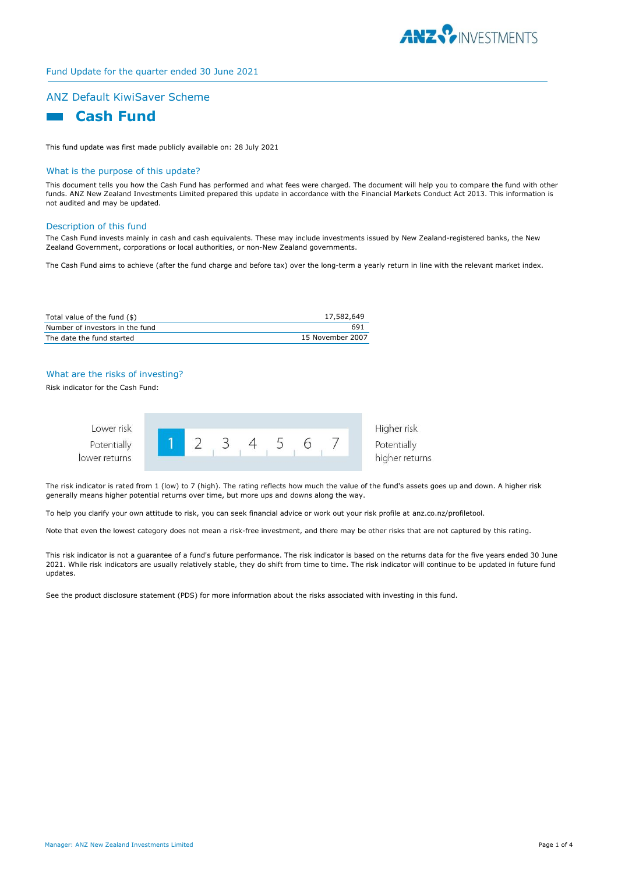

# Fund Update for the quarter ended 30 June 2021

# ANZ Default KiwiSaver Scheme



This fund update was first made publicly available on: 28 July 2021

#### What is the purpose of this update?

This document tells you how the Cash Fund has performed and what fees were charged. The document will help you to compare the fund with other funds. ANZ New Zealand Investments Limited prepared this update in accordance with the Financial Markets Conduct Act 2013. This information is not audited and may be updated.

#### Description of this fund

The Cash Fund invests mainly in cash and cash equivalents. These may include investments issued by New Zealand-registered banks, the New Zealand Government, corporations or local authorities, or non-New Zealand governments.

The Cash Fund aims to achieve (after the fund charge and before tax) over the long-term a yearly return in line with the relevant market index.

| Total value of the fund (\$)    | 17,582,649       |
|---------------------------------|------------------|
| Number of investors in the fund | 691              |
| The date the fund started       | 15 November 2007 |

# What are the risks of investing?

Risk indicator for the Cash Fund:



The risk indicator is rated from 1 (low) to 7 (high). The rating reflects how much the value of the fund's assets goes up and down. A higher risk generally means higher potential returns over time, but more ups and downs along the way.

To help you clarify your own attitude to risk, you can seek financial advice or work out your risk profile at anz.co.nz/profiletool.

Note that even the lowest category does not mean a risk-free investment, and there may be other risks that are not captured by this rating.

This risk indicator is not a guarantee of a fund's future performance. The risk indicator is based on the returns data for the five years ended 30 June 2021. While risk indicators are usually relatively stable, they do shift from time to time. The risk indicator will continue to be updated in future fund updates.

See the product disclosure statement (PDS) for more information about the risks associated with investing in this fund.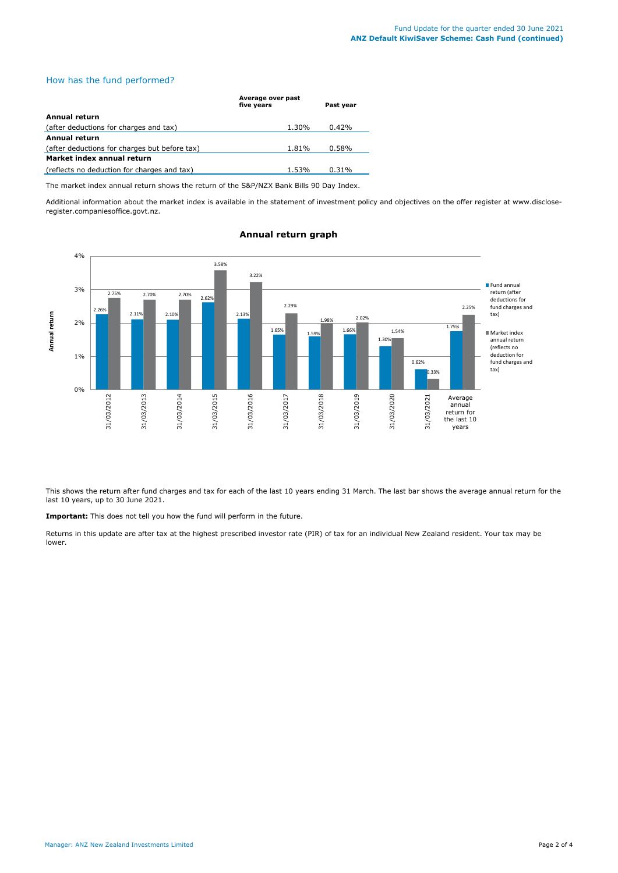# How has the fund performed?

|                                               | Average over past<br>five years | Past year |
|-----------------------------------------------|---------------------------------|-----------|
| Annual return                                 |                                 |           |
| (after deductions for charges and tax)        | 1.30%                           | 0.42%     |
| Annual return                                 |                                 |           |
| (after deductions for charges but before tax) | 1.81%                           | 0.58%     |
| Market index annual return                    |                                 |           |
| (reflects no deduction for charges and tax)   | 1.53%                           | 0.31%     |

The market index annual return shows the return of the S&P/NZX Bank Bills 90 Day Index.

Additional information about the market index is available in the statement of investment policy and objectives on the offer register at www.discloseregister.companiesoffice.govt.nz.



## **Annual return graph**

This shows the return after fund charges and tax for each of the last 10 years ending 31 March. The last bar shows the average annual return for the last 10 years, up to 30 June 2021.

**Important:** This does not tell you how the fund will perform in the future.

Returns in this update are after tax at the highest prescribed investor rate (PIR) of tax for an individual New Zealand resident. Your tax may be lower.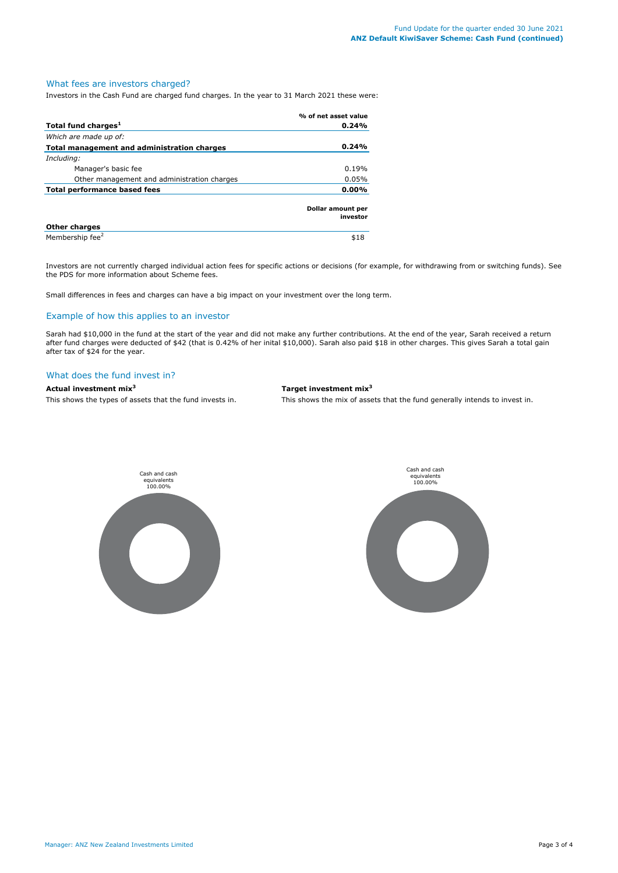# What fees are investors charged?

Investors in the Cash Fund are charged fund charges. In the year to 31 March 2021 these were:

|                                             | % of net asset value          |
|---------------------------------------------|-------------------------------|
| Total fund charges <sup>1</sup>             | 0.24%                         |
| Which are made up of:                       |                               |
| Total management and administration charges | 0.24%                         |
| Including:                                  |                               |
| Manager's basic fee                         | 0.19%                         |
| Other management and administration charges | 0.05%                         |
| Total performance based fees                | $0.00\%$                      |
|                                             | Dollar amount per<br>investor |
| <b>Other charges</b>                        |                               |
| Membership fee <sup>2</sup>                 | \$18                          |

Investors are not currently charged individual action fees for specific actions or decisions (for example, for withdrawing from or switching funds). See the PDS for more information about Scheme fees.

Small differences in fees and charges can have a big impact on your investment over the long term.

## Example of how this applies to an investor

Sarah had \$10,000 in the fund at the start of the year and did not make any further contributions. At the end of the year, Sarah received a return after fund charges were deducted of \$42 (that is 0.42% of her inital \$10,000). Sarah also paid \$18 in other charges. This gives Sarah a total gain after tax of \$24 for the year.

#### What does the fund invest in?

### **Actual investment mix<sup>3</sup> Target investment mix<sup>3</sup>**

This shows the types of assets that the fund invests in. This shows the mix of assets that the fund generally intends to invest in.